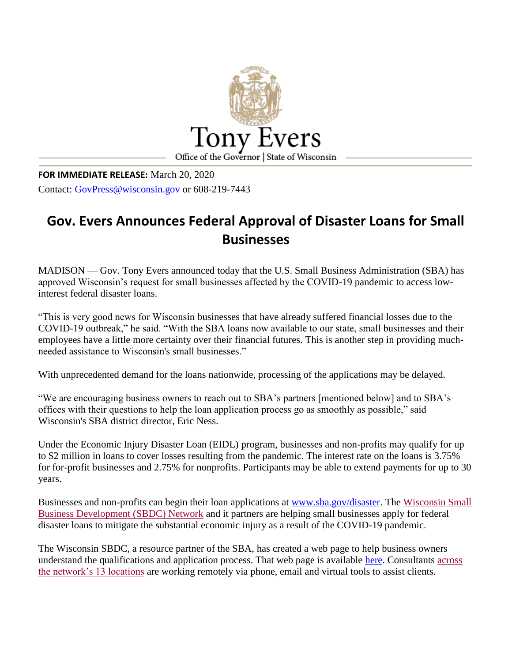

**FOR IMMEDIATE RELEASE:** March 20, 2020 Contact: [GovPress@wisconsin.gov](mailto:GovPress@wisconsin.gov) or 608-219-7443

## **Gov. Evers Announces Federal Approval of Disaster Loans for Small Businesses**

MADISON — Gov. Tony Evers announced today that the U.S. Small Business Administration (SBA) has approved Wisconsin's request for small businesses affected by the COVID-19 pandemic to access lowinterest federal disaster loans.

"This is very good news for Wisconsin businesses that have already suffered financial losses due to the COVID-19 outbreak," he said. "With the SBA loans now available to our state, small businesses and their employees have a little more certainty over their financial futures. This is another step in providing muchneeded assistance to Wisconsin's small businesses."

With unprecedented demand for the loans nationwide, processing of the applications may be delayed.

"We are encouraging business owners to reach out to SBA's partners [mentioned below] and to SBA's offices with their questions to help the loan application process go as smoothly as possible," said Wisconsin's SBA district director, Eric Ness.

Under the Economic Injury Disaster Loan (EIDL) program, businesses and non-profits may qualify for up to \$2 million in loans to cover losses resulting from the pandemic. The interest rate on the loans is 3.75% for for-profit businesses and 2.75% for nonprofits. Participants may be able to extend payments for up to 30 years.

Businesses and non-profits can begin their loan applications at [www.sba.gov/disaster.](https://lnks.gd/l/eyJhbGciOiJIUzI1NiJ9.eyJidWxsZXRpbl9saW5rX2lkIjoxMDAsInVyaSI6ImJwMjpjbGljayIsImJ1bGxldGluX2lkIjoiMjAyMDAzMjEuMTkwOTUxNjEiLCJ1cmwiOiJodHRwczovL25hbTAzLnNhZmVsaW5rcy5wcm90ZWN0aW9uLm91dGxvb2suY29tLz91cmw9aHR0cCUzQSUyRiUyRnd3dy5zYmEuZ292JTJGZGlzYXN0ZXImZGF0YT0wMiU3QzAxJTdDZGF2aWQuY2FsbGVuZGVyJTQwd2VkYy5vcmclN0NhYTMyZmYyMDRkNzc0ZGE0NzNjYTA4ZDdjZDBhYmI1YyU3Q2E0ZDBjNjAzOWM3ZjQyOTNiODljYTA4YzFhOGViNTcxJTdDMCU3QzAlN0M2MzcyMDMzMTgzMDU2MzExODcmc2RhdGE9OXBkSGVHNUk3WTJ5WWI4S2hKeFg3S0FGR2x3UkNGVnBOZHVVdk1OeGMwMCUzRCZyZXNlcnZlZD0wIn0.nahNfkAuRoJ3DYJ8CRx36IjfuKikR4XfkFAa94UtwZQ/br/76450216143-l) The [Wisconsin Small](https://lnks.gd/l/eyJhbGciOiJIUzI1NiJ9.eyJidWxsZXRpbl9saW5rX2lkIjoxMDEsInVyaSI6ImJwMjpjbGljayIsImJ1bGxldGluX2lkIjoiMjAyMDAzMjEuMTkwOTUxNjEiLCJ1cmwiOiJodHRwOi8vd3d3Lndpc2NvbnNpbnNiZGMub3JnLyJ9.__vlmTTPxPF2bJEx-VtVbezmMMVVbGeQ43oD3mXFCmk/br/76450216143-l)  [Business Development \(SBDC\) Network](https://lnks.gd/l/eyJhbGciOiJIUzI1NiJ9.eyJidWxsZXRpbl9saW5rX2lkIjoxMDEsInVyaSI6ImJwMjpjbGljayIsImJ1bGxldGluX2lkIjoiMjAyMDAzMjEuMTkwOTUxNjEiLCJ1cmwiOiJodHRwOi8vd3d3Lndpc2NvbnNpbnNiZGMub3JnLyJ9.__vlmTTPxPF2bJEx-VtVbezmMMVVbGeQ43oD3mXFCmk/br/76450216143-l) and it partners are helping small businesses apply for federal disaster loans to mitigate the substantial economic injury as a result of the COVID-19 pandemic.

The Wisconsin SBDC, a resource partner of the SBA, has created a web page to help business owners understand the qualifications and application process. That web page is available [here.](https://lnks.gd/l/eyJhbGciOiJIUzI1NiJ9.eyJidWxsZXRpbl9saW5rX2lkIjoxMDIsInVyaSI6ImJwMjpjbGljayIsImJ1bGxldGluX2lkIjoiMjAyMDAzMjEuMTkwOTUxNjEiLCJ1cmwiOiJodHRwczovL3dpc2NvbnNpbnNiZGMub3JnL3NlcnZpY2VzL2NvdmlkLTE5L2Rpc2FzdGVybG9hbnMvIn0.4L109dJhV19ntda4AfRgrY_818J5RpurfdJ2sBNSqS8/br/76450216143-l) Consultants [across](https://lnks.gd/l/eyJhbGciOiJIUzI1NiJ9.eyJidWxsZXRpbl9saW5rX2lkIjoxMDMsInVyaSI6ImJwMjpjbGljayIsImJ1bGxldGluX2lkIjoiMjAyMDAzMjEuMTkwOTUxNjEiLCJ1cmwiOiJodHRwOi8vd3d3Lndpc2NvbnNpbnNiZGMuY29tL2NlbnRlcnMifQ.mpjHWTOsQ1kKYTFlyGtB-RRCyR71rYw2jD4tbf_PGYQ/br/76450216143-l)  [the network's 13 locations](https://lnks.gd/l/eyJhbGciOiJIUzI1NiJ9.eyJidWxsZXRpbl9saW5rX2lkIjoxMDMsInVyaSI6ImJwMjpjbGljayIsImJ1bGxldGluX2lkIjoiMjAyMDAzMjEuMTkwOTUxNjEiLCJ1cmwiOiJodHRwOi8vd3d3Lndpc2NvbnNpbnNiZGMuY29tL2NlbnRlcnMifQ.mpjHWTOsQ1kKYTFlyGtB-RRCyR71rYw2jD4tbf_PGYQ/br/76450216143-l) are working remotely via phone, email and virtual tools to assist clients.